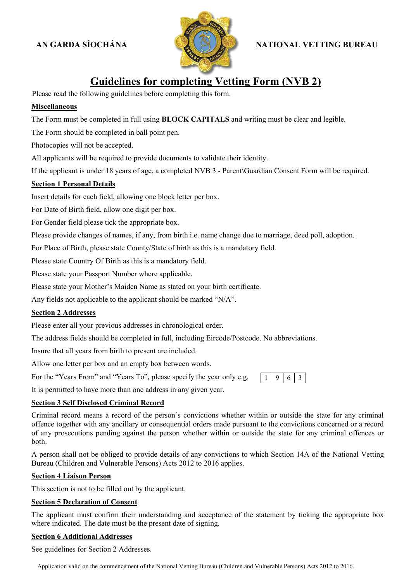# **AN GARDA SÍOCHÁNA**



# **NATIONAL VETTING BUR BUREAU**

# **Guidelines for completing Vetting Form (NVB 2)**

Please read the following guidelines before completing this form.

#### **Miscellaneous**

The Form must be completed in full using **BLOCK CAPITALS** and writing must be clear and legible.

The Form should be completed in ball point pen.

Photocopies will not be accepted.

All applicants will be required to provide documents to validate their identity.

All applicants will be required to provide documents to validate their identity.<br>If the applicant is under 18 years of age, a completed NVB 3 - Parent\Guardian Consent Form will be required.

### **Section 1 Personal Details**

Insert details for each field, allowing one block letter per box.

For Date of Birth field, allow one digit per box.

For Gender field please tick the appropriate box.

Please provide changes of names, if any, from birth i.e. name change due to marriage, deed poll, adoption. der field please tick the app<br>rovide changes of names, if<br>e of Birth, please state Cou<br>tate Country Of Birth as thi<br>tate your Passport Number

For Place of Birth, please state County/State of birth as this is a mandatory field.

Please state Country Of Birth as this is a mandatory field.

Please state your Passport Number where applicable.

Please state your Mother's Maiden Name as stated on your birth certificate.

Any fields not applicable to the applicant should be marked " $N/A$ ".

#### **Section 2 Addresses**

Please enter all your previous addresses in chronological order.

The address fields should be completed in full, including Eircode/Postcode. No abbreviations.

Insure that all years from birth to present are included.

Allow one letter per box and an empty box between words.

For the "Years From" and "Years To", please specify the year only e.g.  $\begin{bmatrix} 1 & 9 & 6 \end{bmatrix}$ 

It is permitted to have more than one address in any given year.

#### **Section 3 Self Disclosed Criminal Record**

Criminal record means a record of the person's convictions whether within or outside the state for any criminal offence together with any ancillary or consequential orders made pursuant to the convictions concerned or a record of any prosecutions pending against the person whether within or outside the state for any criminal offences or both. of any prosecutions pending against the person whether within or outside the state for any criminal offences or<br>both.<br>A person shall not be obliged to provide details of any convictions to which Section 14A of the National eted NVB 3 - Parent\Guardian Consent Form will be required.<br>
etter per box.<br>
trib i.e. name change due to marriage, deed poll, adoption.<br>
inth as this is a mandatory field.<br>
blocory field.<br>
blocory field.<br>
be marked "N/A".

Bureau (Children and Vulnerable Persons) Acts 2012 to 2016 applies.

#### **Section 4 Liaison Person**

This section is not to be filled out by the applicant.

#### **Section 5 Declaration of Consent**

The applicant must confirm their understanding and acceptance of the statement by ticking the appropriate box where indicated. The date must be the present date of signing.

#### **Section 6 Additional Addresses**

See guidelines for Section 2 Addresses.

Application valid on the commencement of the National Vetting Bureau (Children and Vulnerable Persons) Acts 2012 to 2016.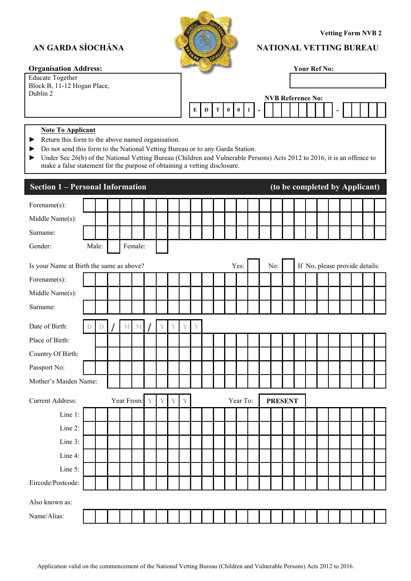# **AN GARDA SÍOCHÁNA**



## **NATIONAL VETTING BUR**

| <b>Organisation Address:</b> |  |
|------------------------------|--|
|------------------------------|--|

| NS                                                                                  | <b>NATIONAL VETTING BUREAU</b><br><b>Your Ref No:</b>               |
|-------------------------------------------------------------------------------------|---------------------------------------------------------------------|
| $\begin{array}{ c c c c c }\n\hline\n0 & 1\n\end{array}$<br>E<br>T<br>$\bf{0}$<br>D | <b>NVB Reference No:</b>                                            |
| or to any Garda Station.<br>vetting disclosure.                                     | dren and Vulnerable Persons) Acts 2012 to 2016, it is an offence to |
|                                                                                     |                                                                     |
|                                                                                     | (to be completed by Applicant)                                      |

#### **Note To Applicant**

- ► Return this form to the above named organisation.
- ► Do not send this form to the National Vetting Bureau or to any Garda Station. he
- ► Under Sec 26(b) of the National Vetting Bureau (Children and Vulnerable Persons) Acts 2012 to 2016, it is an offence to make a false statement for the purpose of obtaining a vetting disclosure.

| AN GARDA SÍOCHÁNA                                                                                                         |                                                                                                                                                                                                                                                                                                                                                                              |       |  |  | <b>Vetting Form NVB 2</b><br><b>NATIONAL VETTING BUREAU</b> |   |   |   |   |   |   |   |          |          |  |                          |  |                     |  |                                |  |  |
|---------------------------------------------------------------------------------------------------------------------------|------------------------------------------------------------------------------------------------------------------------------------------------------------------------------------------------------------------------------------------------------------------------------------------------------------------------------------------------------------------------------|-------|--|--|-------------------------------------------------------------|---|---|---|---|---|---|---|----------|----------|--|--------------------------|--|---------------------|--|--------------------------------|--|--|
| <b>Organisation Address:</b>                                                                                              |                                                                                                                                                                                                                                                                                                                                                                              |       |  |  |                                                             |   |   |   |   |   |   |   |          |          |  |                          |  | <b>Your Ref No:</b> |  |                                |  |  |
| <b>Educate Together</b><br>Block B, 11-12 Hogan Place,                                                                    |                                                                                                                                                                                                                                                                                                                                                                              |       |  |  |                                                             |   |   |   |   |   |   |   |          |          |  |                          |  |                     |  |                                |  |  |
| Dublin 2                                                                                                                  |                                                                                                                                                                                                                                                                                                                                                                              |       |  |  |                                                             |   |   |   |   |   |   |   |          |          |  | <b>NVB Reference No:</b> |  |                     |  |                                |  |  |
|                                                                                                                           |                                                                                                                                                                                                                                                                                                                                                                              |       |  |  |                                                             |   |   |   |   | E | D | Т | $\bf{0}$ | $\bf{0}$ |  |                          |  |                     |  |                                |  |  |
|                                                                                                                           |                                                                                                                                                                                                                                                                                                                                                                              |       |  |  |                                                             |   |   |   |   |   |   |   |          |          |  |                          |  |                     |  |                                |  |  |
| <b>Note To Applicant</b><br>▶<br>▶<br>▶                                                                                   | Return this form to the above named organisation.<br>Do not send this form to the National Vetting Bureau or to any Garda Station.<br>Under Sec 26(b) of the National Vetting Bureau (Children and Vulnerable Persons) Acts 2012 to 2016, it is an offence to<br>make a false statement for the purpose of obtaining a vetting disclosure.<br>(to be completed by Applicant) |       |  |  |                                                             |   |   |   |   |   |   |   |          |          |  |                          |  |                     |  |                                |  |  |
| <b>Section 1 - Personal Information</b>                                                                                   |                                                                                                                                                                                                                                                                                                                                                                              |       |  |  |                                                             |   |   |   |   |   |   |   |          |          |  |                          |  |                     |  |                                |  |  |
| Forename(s):                                                                                                              |                                                                                                                                                                                                                                                                                                                                                                              |       |  |  |                                                             |   |   |   |   |   |   |   |          |          |  |                          |  |                     |  |                                |  |  |
| Middle Name(s):                                                                                                           |                                                                                                                                                                                                                                                                                                                                                                              |       |  |  |                                                             |   |   |   |   |   |   |   |          |          |  |                          |  |                     |  |                                |  |  |
| Surname:                                                                                                                  |                                                                                                                                                                                                                                                                                                                                                                              |       |  |  |                                                             |   |   |   |   |   |   |   |          |          |  |                          |  |                     |  |                                |  |  |
| Gender:                                                                                                                   |                                                                                                                                                                                                                                                                                                                                                                              | Male: |  |  | Female:                                                     |   |   |   |   |   |   |   |          |          |  |                          |  |                     |  |                                |  |  |
| Is your Name at Birth the same as above?<br>Forename(s):                                                                  |                                                                                                                                                                                                                                                                                                                                                                              |       |  |  |                                                             |   |   |   |   |   |   |   |          | Yes:     |  | No:                      |  |                     |  | If No, please provide details: |  |  |
| Middle Name(s):                                                                                                           |                                                                                                                                                                                                                                                                                                                                                                              |       |  |  |                                                             |   |   |   |   |   |   |   |          |          |  |                          |  |                     |  |                                |  |  |
| Surname:                                                                                                                  |                                                                                                                                                                                                                                                                                                                                                                              |       |  |  |                                                             |   |   |   |   |   |   |   |          |          |  |                          |  |                     |  |                                |  |  |
| Date of Birth:                                                                                                            |                                                                                                                                                                                                                                                                                                                                                                              |       |  |  |                                                             |   |   |   |   | Y |   |   |          |          |  |                          |  |                     |  |                                |  |  |
| Place of Birth:                                                                                                           |                                                                                                                                                                                                                                                                                                                                                                              |       |  |  |                                                             |   |   |   |   |   |   |   |          |          |  |                          |  |                     |  |                                |  |  |
| Country Of Birth:                                                                                                         |                                                                                                                                                                                                                                                                                                                                                                              |       |  |  |                                                             |   |   |   |   |   |   |   |          |          |  |                          |  |                     |  |                                |  |  |
| Passport No:                                                                                                              |                                                                                                                                                                                                                                                                                                                                                                              |       |  |  |                                                             |   |   |   |   |   |   |   |          |          |  |                          |  |                     |  |                                |  |  |
| Mother's Maiden Name:                                                                                                     |                                                                                                                                                                                                                                                                                                                                                                              |       |  |  |                                                             |   |   |   |   |   |   |   |          |          |  |                          |  |                     |  |                                |  |  |
| <b>Current Address:</b>                                                                                                   |                                                                                                                                                                                                                                                                                                                                                                              |       |  |  | Year From:                                                  | Y | Y | Y | Y |   |   |   |          | Year To: |  | <b>PRESENT</b>           |  |                     |  |                                |  |  |
| Line 1:                                                                                                                   |                                                                                                                                                                                                                                                                                                                                                                              |       |  |  |                                                             |   |   |   |   |   |   |   |          |          |  |                          |  |                     |  |                                |  |  |
| Line 2:                                                                                                                   |                                                                                                                                                                                                                                                                                                                                                                              |       |  |  |                                                             |   |   |   |   |   |   |   |          |          |  |                          |  |                     |  |                                |  |  |
| Line 3:                                                                                                                   |                                                                                                                                                                                                                                                                                                                                                                              |       |  |  |                                                             |   |   |   |   |   |   |   |          |          |  |                          |  |                     |  |                                |  |  |
| Line 4:                                                                                                                   |                                                                                                                                                                                                                                                                                                                                                                              |       |  |  |                                                             |   |   |   |   |   |   |   |          |          |  |                          |  |                     |  |                                |  |  |
| Line 5:                                                                                                                   |                                                                                                                                                                                                                                                                                                                                                                              |       |  |  |                                                             |   |   |   |   |   |   |   |          |          |  |                          |  |                     |  |                                |  |  |
| Eircode/Postcode:                                                                                                         |                                                                                                                                                                                                                                                                                                                                                                              |       |  |  |                                                             |   |   |   |   |   |   |   |          |          |  |                          |  |                     |  |                                |  |  |
| Also known as:                                                                                                            |                                                                                                                                                                                                                                                                                                                                                                              |       |  |  |                                                             |   |   |   |   |   |   |   |          |          |  |                          |  |                     |  |                                |  |  |
| Name/Alias:                                                                                                               |                                                                                                                                                                                                                                                                                                                                                                              |       |  |  |                                                             |   |   |   |   |   |   |   |          |          |  |                          |  |                     |  |                                |  |  |
|                                                                                                                           |                                                                                                                                                                                                                                                                                                                                                                              |       |  |  |                                                             |   |   |   |   |   |   |   |          |          |  |                          |  |                     |  |                                |  |  |
|                                                                                                                           |                                                                                                                                                                                                                                                                                                                                                                              |       |  |  |                                                             |   |   |   |   |   |   |   |          |          |  |                          |  |                     |  |                                |  |  |
|                                                                                                                           |                                                                                                                                                                                                                                                                                                                                                                              |       |  |  |                                                             |   |   |   |   |   |   |   |          |          |  |                          |  |                     |  |                                |  |  |
| Application valid on the commencement of the National Vetting Bureau (Children and Vulnerable Persons) Acts 2012 to 2016. |                                                                                                                                                                                                                                                                                                                                                                              |       |  |  |                                                             |   |   |   |   |   |   |   |          |          |  |                          |  |                     |  |                                |  |  |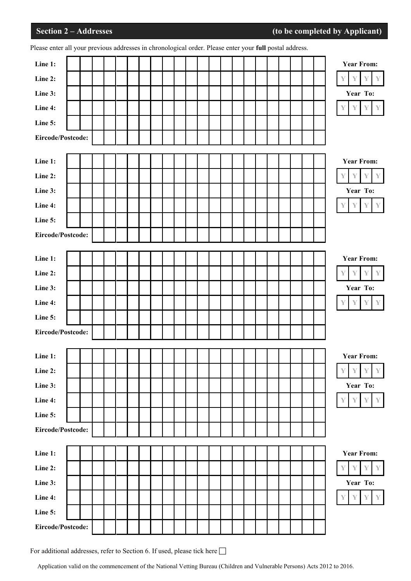| Please enter all your previous addresses in chronological order. Please enter your full postal address. |  |  |  |  |  |  |  |  |  |  |                                          |
|---------------------------------------------------------------------------------------------------------|--|--|--|--|--|--|--|--|--|--|------------------------------------------|
| Line 1:                                                                                                 |  |  |  |  |  |  |  |  |  |  | <b>Year From:</b>                        |
| Line 2:                                                                                                 |  |  |  |  |  |  |  |  |  |  | Y<br>Y<br>Y                              |
| Line 3:                                                                                                 |  |  |  |  |  |  |  |  |  |  | Year To:                                 |
| Line 4:                                                                                                 |  |  |  |  |  |  |  |  |  |  |                                          |
| Line 5:                                                                                                 |  |  |  |  |  |  |  |  |  |  |                                          |
| Eircode/Postcode:                                                                                       |  |  |  |  |  |  |  |  |  |  |                                          |
|                                                                                                         |  |  |  |  |  |  |  |  |  |  |                                          |
| Line 1:                                                                                                 |  |  |  |  |  |  |  |  |  |  | <b>Year From:</b>                        |
| Line 2:                                                                                                 |  |  |  |  |  |  |  |  |  |  | Y                                        |
| Line 3:                                                                                                 |  |  |  |  |  |  |  |  |  |  | Year To:                                 |
| Line 4:                                                                                                 |  |  |  |  |  |  |  |  |  |  | $\mathbb {Y}$<br>Υ<br>Y                  |
| Line 5:                                                                                                 |  |  |  |  |  |  |  |  |  |  |                                          |
| Eircode/Postcode:                                                                                       |  |  |  |  |  |  |  |  |  |  |                                          |
|                                                                                                         |  |  |  |  |  |  |  |  |  |  |                                          |
| Line 1:                                                                                                 |  |  |  |  |  |  |  |  |  |  | <b>Year From:</b>                        |
| Line 2:                                                                                                 |  |  |  |  |  |  |  |  |  |  | Y<br>Y                                   |
| Line 3:                                                                                                 |  |  |  |  |  |  |  |  |  |  | Year To:                                 |
| Line 4:                                                                                                 |  |  |  |  |  |  |  |  |  |  | $\mathbb {Y}$<br>Y                       |
| Line 5:                                                                                                 |  |  |  |  |  |  |  |  |  |  |                                          |
| Eircode/Postcode:                                                                                       |  |  |  |  |  |  |  |  |  |  |                                          |
|                                                                                                         |  |  |  |  |  |  |  |  |  |  |                                          |
| Line 1:                                                                                                 |  |  |  |  |  |  |  |  |  |  | <b>Year From:</b>                        |
| Line 2:                                                                                                 |  |  |  |  |  |  |  |  |  |  | Y<br>Y<br>Y<br>Y                         |
| Line 3:                                                                                                 |  |  |  |  |  |  |  |  |  |  | Year To:                                 |
| Line 4:                                                                                                 |  |  |  |  |  |  |  |  |  |  | $\mathbb {Y}$<br>$\mathbb {Y}$<br>Y<br>Y |
| Line 5:                                                                                                 |  |  |  |  |  |  |  |  |  |  |                                          |
| Eircode/Postcode:                                                                                       |  |  |  |  |  |  |  |  |  |  |                                          |
|                                                                                                         |  |  |  |  |  |  |  |  |  |  |                                          |
| Line 1:                                                                                                 |  |  |  |  |  |  |  |  |  |  | <b>Year From:</b>                        |
| Line 2:                                                                                                 |  |  |  |  |  |  |  |  |  |  | Υ                                        |
| Line 3:                                                                                                 |  |  |  |  |  |  |  |  |  |  | Year To:                                 |
| Line 4:                                                                                                 |  |  |  |  |  |  |  |  |  |  | $\mathbb {Y}$<br>$\mathbb {Y}$<br>Y<br>Y |
| Line 5:                                                                                                 |  |  |  |  |  |  |  |  |  |  |                                          |
| Eircode/Postcode:                                                                                       |  |  |  |  |  |  |  |  |  |  |                                          |

For additional addresses, refer to Section 6. If used, please tick here  $\Box$ 

Application valid on the commencement of the National Vetting Bureau (Children and Vulnerable Persons) Acts 2012 to 2016.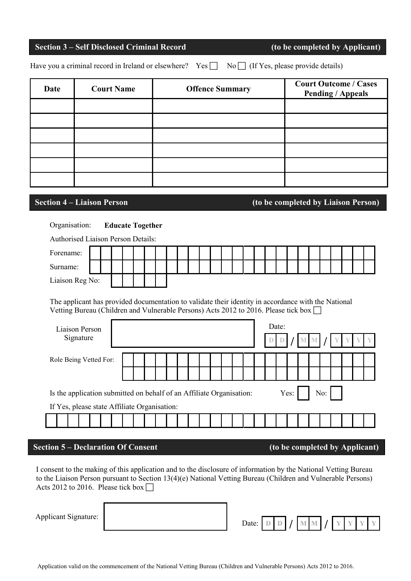# **Section 3 – Self Disclosed Criminal Record (to be completed by Applicant)**

Have you a criminal record in Ireland or elsewhere? Yes  $\Box$  No  $\Box$  (If Yes, please provide details)

| Date | <b>Court Name</b> | <b>Offence Summary</b> | <b>Court Outcome / Cases</b><br><b>Pending / Appeals</b> |
|------|-------------------|------------------------|----------------------------------------------------------|
|      |                   |                        |                                                          |
|      |                   |                        |                                                          |
|      |                   |                        |                                                          |
|      |                   |                        |                                                          |
|      |                   |                        |                                                          |
|      |                   |                        |                                                          |

**Section 4 – Liaison Person (to be completed by Liaison Person)**

# Organisation: **Educate Together**

| <b>Authorised Liaison Person Details:</b>                            |                                                                                                                                                                                            |  |       |  |  |  |  |  |  |  |  |  |  |  |  |  |  |      |  |     |  |  |  |
|----------------------------------------------------------------------|--------------------------------------------------------------------------------------------------------------------------------------------------------------------------------------------|--|-------|--|--|--|--|--|--|--|--|--|--|--|--|--|--|------|--|-----|--|--|--|
| Forename:                                                            |                                                                                                                                                                                            |  |       |  |  |  |  |  |  |  |  |  |  |  |  |  |  |      |  |     |  |  |  |
| Surname:                                                             |                                                                                                                                                                                            |  |       |  |  |  |  |  |  |  |  |  |  |  |  |  |  |      |  |     |  |  |  |
| Liaison Reg No:                                                      |                                                                                                                                                                                            |  |       |  |  |  |  |  |  |  |  |  |  |  |  |  |  |      |  |     |  |  |  |
|                                                                      | The applicant has provided documentation to validate their identity in accordance with the National<br>Vetting Bureau (Children and Vulnerable Persons) Acts 2012 to 2016. Please tick box |  |       |  |  |  |  |  |  |  |  |  |  |  |  |  |  |      |  |     |  |  |  |
| Liaison Person<br>Signature                                          |                                                                                                                                                                                            |  | Date: |  |  |  |  |  |  |  |  |  |  |  |  |  |  |      |  |     |  |  |  |
| Role Being Vetted For:                                               |                                                                                                                                                                                            |  |       |  |  |  |  |  |  |  |  |  |  |  |  |  |  |      |  |     |  |  |  |
|                                                                      |                                                                                                                                                                                            |  |       |  |  |  |  |  |  |  |  |  |  |  |  |  |  |      |  |     |  |  |  |
| Is the application submitted on behalf of an Affiliate Organisation: |                                                                                                                                                                                            |  |       |  |  |  |  |  |  |  |  |  |  |  |  |  |  | Yes: |  | No: |  |  |  |
| If Yes, please state Affiliate Organisation:                         |                                                                                                                                                                                            |  |       |  |  |  |  |  |  |  |  |  |  |  |  |  |  |      |  |     |  |  |  |
|                                                                      |                                                                                                                                                                                            |  |       |  |  |  |  |  |  |  |  |  |  |  |  |  |  |      |  |     |  |  |  |

# **Section 5 – Declaration Of Consent (to be completed by Applicant)**

I consent to the making of this application and to the disclosure of information by the National Vetting Bureau to the Liaison Person pursuant to Section 13(4)(e) National Vetting Bureau (Children and Vulnerable Persons) Acts 2012 to 2016. Please tick box  $\Box$ 

Applicant Signature:

| Date: $\Box$ $\Box$ $\Box$ $\Box$ $\Box$ |  |  |  | $M$ $M$ $I$ $V$ | γ |  |
|------------------------------------------|--|--|--|-----------------|---|--|